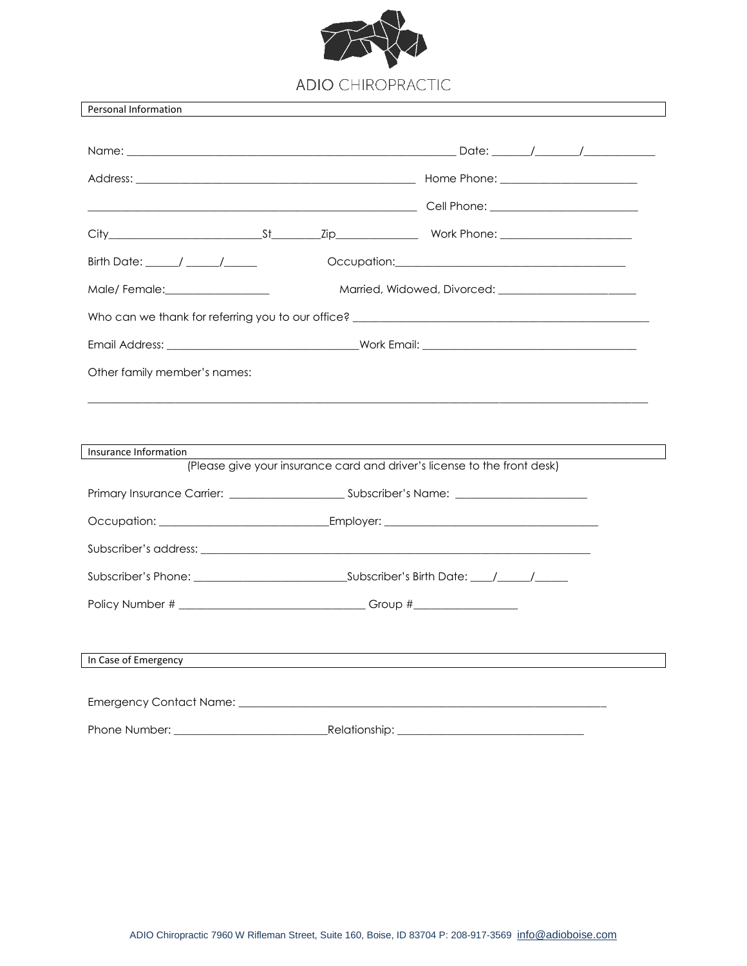

Personal Information

| Birth Date: $\frac{1}{\sqrt{2\pi}}$                                                                            | Occupation: <u>contract and contract and contract and contract and contract and contract and contract of the contract of the contract of the contract of the contract of the contract of the contract of the contract of the con</u> |  |  |  |  |  |  |
|----------------------------------------------------------------------------------------------------------------|--------------------------------------------------------------------------------------------------------------------------------------------------------------------------------------------------------------------------------------|--|--|--|--|--|--|
| Male/Female: \\square\\square\\square\\square\\square\\square\\square\\square\\square\\square\\square\\square\ |                                                                                                                                                                                                                                      |  |  |  |  |  |  |
|                                                                                                                |                                                                                                                                                                                                                                      |  |  |  |  |  |  |
|                                                                                                                |                                                                                                                                                                                                                                      |  |  |  |  |  |  |
| Other family member's names:                                                                                   |                                                                                                                                                                                                                                      |  |  |  |  |  |  |
|                                                                                                                |                                                                                                                                                                                                                                      |  |  |  |  |  |  |
|                                                                                                                |                                                                                                                                                                                                                                      |  |  |  |  |  |  |
| Insurance Information                                                                                          |                                                                                                                                                                                                                                      |  |  |  |  |  |  |
|                                                                                                                | (Please give your insurance card and driver's license to the front desk)                                                                                                                                                             |  |  |  |  |  |  |
|                                                                                                                |                                                                                                                                                                                                                                      |  |  |  |  |  |  |
|                                                                                                                |                                                                                                                                                                                                                                      |  |  |  |  |  |  |
|                                                                                                                |                                                                                                                                                                                                                                      |  |  |  |  |  |  |
|                                                                                                                |                                                                                                                                                                                                                                      |  |  |  |  |  |  |
|                                                                                                                |                                                                                                                                                                                                                                      |  |  |  |  |  |  |
|                                                                                                                |                                                                                                                                                                                                                                      |  |  |  |  |  |  |
| In Case of Emergency                                                                                           |                                                                                                                                                                                                                                      |  |  |  |  |  |  |
|                                                                                                                |                                                                                                                                                                                                                                      |  |  |  |  |  |  |
|                                                                                                                |                                                                                                                                                                                                                                      |  |  |  |  |  |  |
|                                                                                                                |                                                                                                                                                                                                                                      |  |  |  |  |  |  |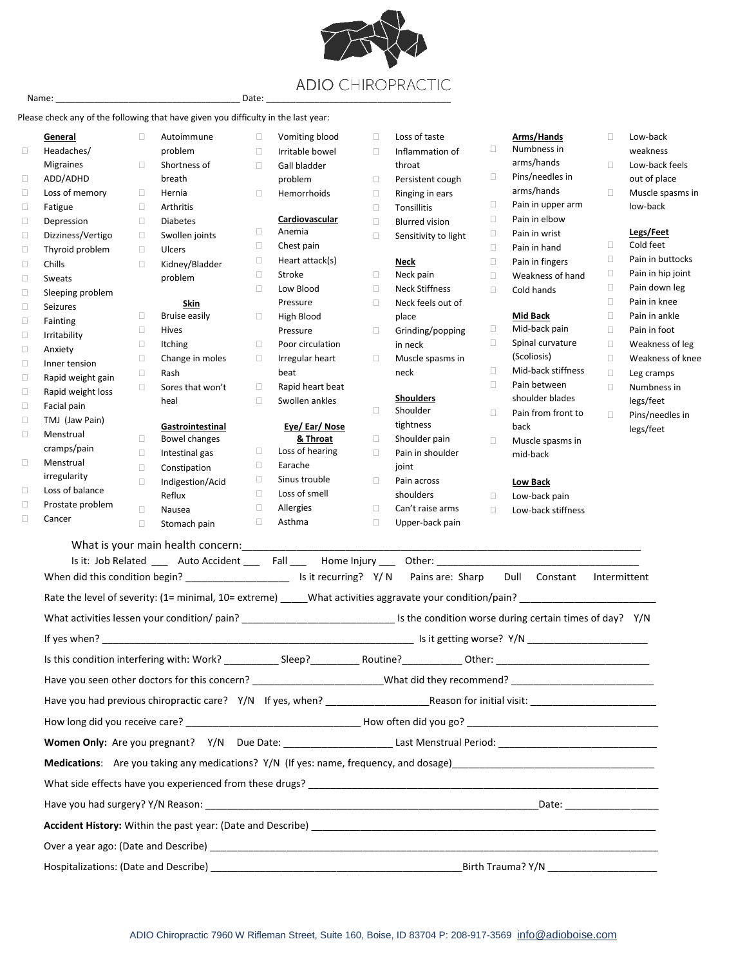

## Please check any of the following that have given you difficulty in the last year:

|                  | <b>General</b>           | $\Box$ | Autoimmune           | $\Box$ | Vomiting blood           | $\Box$ | Loss of taste                                                                                     |                  | <b>Arms/Hands</b>                  | $\Box$ | Low-back          |
|------------------|--------------------------|--------|----------------------|--------|--------------------------|--------|---------------------------------------------------------------------------------------------------|------------------|------------------------------------|--------|-------------------|
| $\Box$           | Headaches/               |        | problem              | $\Box$ | Irritable bowel          | $\Box$ | Inflammation of                                                                                   | $\Box$           | Numbness in                        |        | weakness          |
|                  | <b>Migraines</b>         | $\Box$ | Shortness of         | $\Box$ | Gall bladder             |        | throat                                                                                            |                  | arms/hands                         | $\Box$ | Low-back feels    |
| $\Box$           | ADD/ADHD                 |        | breath               |        | problem                  | $\Box$ | Persistent cough                                                                                  | $\Box$           | Pins/needles in<br>arms/hands      |        | out of place      |
| $\Box$           | Loss of memory           | 0      | Hernia               | $\Box$ | Hemorrhoids              | $\Box$ | Ringing in ears                                                                                   |                  |                                    | $\Box$ | Muscle spasms in  |
| О                | Fatigue                  | $\Box$ | Arthritis            |        |                          | $\Box$ | Tonsillitis                                                                                       | $\Box$<br>$\Box$ | Pain in upper arm<br>Pain in elbow |        | low-back          |
| О                | Depression               | $\Box$ | <b>Diabetes</b>      | $\Box$ | Cardiovascular<br>Anemia | $\Box$ | <b>Blurred vision</b>                                                                             | $\Box$           | Pain in wrist                      |        | Legs/Feet         |
| О                | Dizziness/Vertigo        | $\Box$ | Swollen joints       | $\Box$ | Chest pain               | $\Box$ | Sensitivity to light                                                                              | $\Box$           | Pain in hand                       | $\Box$ | Cold feet         |
| $\Box$           | Thyroid problem          | $\Box$ | Ulcers               | $\Box$ | Heart attack(s)          |        | <b>Neck</b>                                                                                       | $\Box$           | Pain in fingers                    | $\Box$ | Pain in buttocks  |
| $\Box$           | Chills                   | $\Box$ | Kidney/Bladder       | $\Box$ | Stroke                   | $\Box$ | Neck pain                                                                                         | $\Box$           | Weakness of hand                   | $\Box$ | Pain in hip joint |
| $\Box$           | Sweats                   |        | problem              | $\Box$ | Low Blood                | $\Box$ | <b>Neck Stiffness</b>                                                                             | $\Box$           | Cold hands                         | $\Box$ | Pain down leg     |
| $\Box$           | Sleeping problem         |        | Skin                 |        | Pressure                 | $\Box$ | Neck feels out of                                                                                 |                  |                                    | $\Box$ | Pain in knee      |
| $\Box$           | Seizures                 | $\Box$ | <b>Bruise easily</b> | $\Box$ | High Blood               |        | place                                                                                             |                  | <b>Mid Back</b>                    | $\Box$ | Pain in ankle     |
| $\Box$           | Fainting                 | $\Box$ | Hives                |        | Pressure                 | $\Box$ | Grinding/popping                                                                                  | $\Box$           | Mid-back pain                      | $\Box$ | Pain in foot      |
| $\Box$           | Irritability             | $\Box$ | <b>Itching</b>       | $\Box$ | Poor circulation         |        | in neck                                                                                           | $\Box$           | Spinal curvature                   | $\Box$ | Weakness of leg   |
| $\Box$           | Anxiety                  | $\Box$ | Change in moles      | $\Box$ | Irregular heart          | $\Box$ | Muscle spasms in                                                                                  |                  | (Scoliosis)                        | $\Box$ | Weakness of knee  |
| $\Box$           | Inner tension            | $\Box$ | Rash                 |        | beat                     |        | neck                                                                                              | $\Box$           | Mid-back stiffness                 | $\Box$ | Leg cramps        |
| $\Box$           | Rapid weight gain        | $\Box$ | Sores that won't     | $\Box$ | Rapid heart beat         |        |                                                                                                   | $\Box$           | Pain between                       | $\Box$ | Numbness in       |
| $\Box$           | Rapid weight loss        |        | heal                 | $\Box$ | Swollen ankles           |        | <b>Shoulders</b>                                                                                  |                  | shoulder blades                    |        | legs/feet         |
| $\Box$           | Facial pain              |        |                      |        |                          | $\Box$ | Shoulder                                                                                          | $\Box$           | Pain from front to                 | $\Box$ | Pins/needles in   |
| $\Box$           | TMJ (Jaw Pain)           |        | Gastrointestinal     |        | Eye/Ear/Nose             |        | tightness                                                                                         |                  | back                               |        | legs/feet         |
| $\Box$           | Menstrual                | $\Box$ | Bowel changes        |        | & Throat                 | $\Box$ | Shoulder pain                                                                                     | $\Box$           | Muscle spasms in                   |        |                   |
| $\Box$           | cramps/pain<br>Menstrual | $\Box$ | Intestinal gas       | $\Box$ | Loss of hearing          | $\Box$ | Pain in shoulder                                                                                  |                  | mid-back                           |        |                   |
|                  | irregularity             | $\Box$ | Constipation         | $\Box$ | Earache                  |        | joint                                                                                             |                  |                                    |        |                   |
| $\Box$           | Loss of balance          | $\Box$ | Indigestion/Acid     | $\Box$ | Sinus trouble            | $\Box$ | Pain across                                                                                       |                  | <b>Low Back</b>                    |        |                   |
|                  | Prostate problem         |        | Reflux               | $\Box$ | Loss of smell            |        | shoulders                                                                                         | $\Box$           | Low-back pain                      |        |                   |
| $\Box$<br>$\Box$ | Cancer                   | $\Box$ | Nausea               | $\Box$ | Allergies                | $\Box$ | Can't raise arms                                                                                  | $\Box$           | Low-back stiffness                 |        |                   |
|                  |                          | $\Box$ | Stomach pain         | $\Box$ | Asthma                   | $\Box$ | Upper-back pain                                                                                   |                  |                                    |        |                   |
|                  |                          |        |                      |        |                          |        |                                                                                                   |                  |                                    |        |                   |
|                  |                          |        |                      |        |                          |        | Is it: Job Related _____ Auto Accident _____ Fall ____ Home Injury ____ Other: ________________   |                  |                                    |        |                   |
|                  |                          |        |                      |        |                          |        | When did this condition begin? ____________________________ Is it recurring? Y/N Pains are: Sharp |                  | Dull<br>Constant                   |        | Intermittent      |
|                  |                          |        |                      |        |                          |        |                                                                                                   |                  |                                    |        |                   |
|                  |                          |        |                      |        |                          |        |                                                                                                   |                  |                                    |        |                   |
|                  |                          |        |                      |        |                          |        |                                                                                                   |                  |                                    |        |                   |
|                  |                          |        |                      |        |                          |        |                                                                                                   |                  |                                    |        |                   |
|                  |                          |        |                      |        |                          |        |                                                                                                   |                  |                                    |        |                   |
|                  |                          |        |                      |        |                          |        |                                                                                                   |                  |                                    |        |                   |
|                  |                          |        |                      |        |                          |        |                                                                                                   |                  |                                    |        |                   |
|                  |                          |        |                      |        |                          |        |                                                                                                   |                  |                                    |        |                   |
|                  |                          |        |                      |        |                          |        |                                                                                                   |                  |                                    |        |                   |
|                  |                          |        |                      |        |                          |        |                                                                                                   |                  |                                    |        |                   |
|                  |                          |        |                      |        |                          |        |                                                                                                   |                  |                                    |        |                   |
|                  |                          |        |                      |        |                          |        |                                                                                                   |                  |                                    |        |                   |
|                  |                          |        |                      |        |                          |        |                                                                                                   |                  |                                    |        |                   |
|                  |                          |        |                      |        |                          |        |                                                                                                   |                  |                                    |        |                   |
|                  |                          |        |                      |        |                          |        |                                                                                                   |                  |                                    |        |                   |
|                  |                          |        |                      |        |                          |        |                                                                                                   |                  |                                    |        |                   |
|                  |                          |        |                      |        |                          |        |                                                                                                   |                  |                                    |        |                   |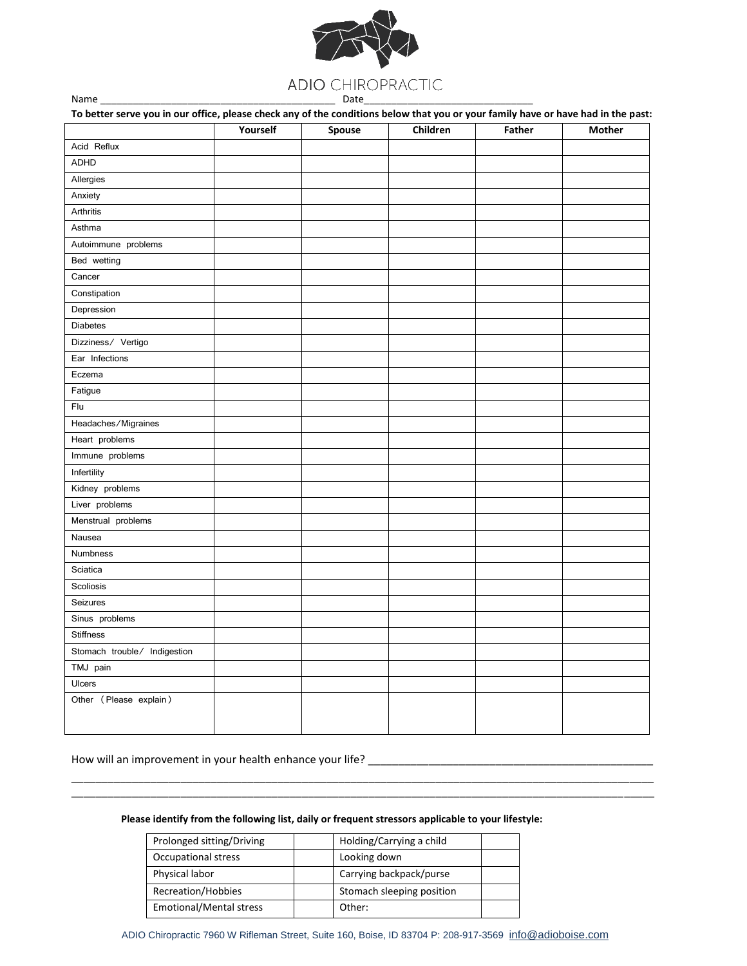

Name

| To better serve you in our office, please check any of the conditions below that you or your family have or have had in the past: | Yourself | Spouse | Children | <b>Father</b> | <b>Mother</b> |
|-----------------------------------------------------------------------------------------------------------------------------------|----------|--------|----------|---------------|---------------|
|                                                                                                                                   |          |        |          |               |               |
| Acid Reflux                                                                                                                       |          |        |          |               |               |
| <b>ADHD</b>                                                                                                                       |          |        |          |               |               |
| Allergies                                                                                                                         |          |        |          |               |               |
| Anxiety                                                                                                                           |          |        |          |               |               |
| Arthritis                                                                                                                         |          |        |          |               |               |
| Asthma                                                                                                                            |          |        |          |               |               |
| Autoimmune problems                                                                                                               |          |        |          |               |               |
| Bed wetting                                                                                                                       |          |        |          |               |               |
| Cancer                                                                                                                            |          |        |          |               |               |
| Constipation                                                                                                                      |          |        |          |               |               |
| Depression                                                                                                                        |          |        |          |               |               |
| <b>Diabetes</b>                                                                                                                   |          |        |          |               |               |
| Dizziness/ Vertigo                                                                                                                |          |        |          |               |               |
| Ear Infections                                                                                                                    |          |        |          |               |               |
| Eczema                                                                                                                            |          |        |          |               |               |
| Fatigue                                                                                                                           |          |        |          |               |               |
| Flu                                                                                                                               |          |        |          |               |               |
| Headaches/Migraines                                                                                                               |          |        |          |               |               |
| Heart problems                                                                                                                    |          |        |          |               |               |
| Immune problems                                                                                                                   |          |        |          |               |               |
| Infertility                                                                                                                       |          |        |          |               |               |
| Kidney problems                                                                                                                   |          |        |          |               |               |
| Liver problems                                                                                                                    |          |        |          |               |               |
| Menstrual problems                                                                                                                |          |        |          |               |               |
| Nausea                                                                                                                            |          |        |          |               |               |
| Numbness                                                                                                                          |          |        |          |               |               |
| Sciatica                                                                                                                          |          |        |          |               |               |
| Scoliosis                                                                                                                         |          |        |          |               |               |
| Seizures                                                                                                                          |          |        |          |               |               |
| Sinus problems                                                                                                                    |          |        |          |               |               |
| <b>Stiffness</b>                                                                                                                  |          |        |          |               |               |
| Stomach trouble/ Indigestion                                                                                                      |          |        |          |               |               |
| TMJ pain                                                                                                                          |          |        |          |               |               |
| <b>Ulcers</b>                                                                                                                     |          |        |          |               |               |
| Other (Please explain)                                                                                                            |          |        |          |               |               |
|                                                                                                                                   |          |        |          |               |               |
|                                                                                                                                   |          |        |          |               |               |

## Please identify from the following list, daily or frequent stressors applicable to your lifestyle:

| Prolonged sitting/Driving      | Holding/Carrying a child  |  |
|--------------------------------|---------------------------|--|
| Occupational stress            | Looking down              |  |
| Physical labor                 | Carrying backpack/purse   |  |
| Recreation/Hobbies             | Stomach sleeping position |  |
| <b>Emotional/Mental stress</b> | Other:                    |  |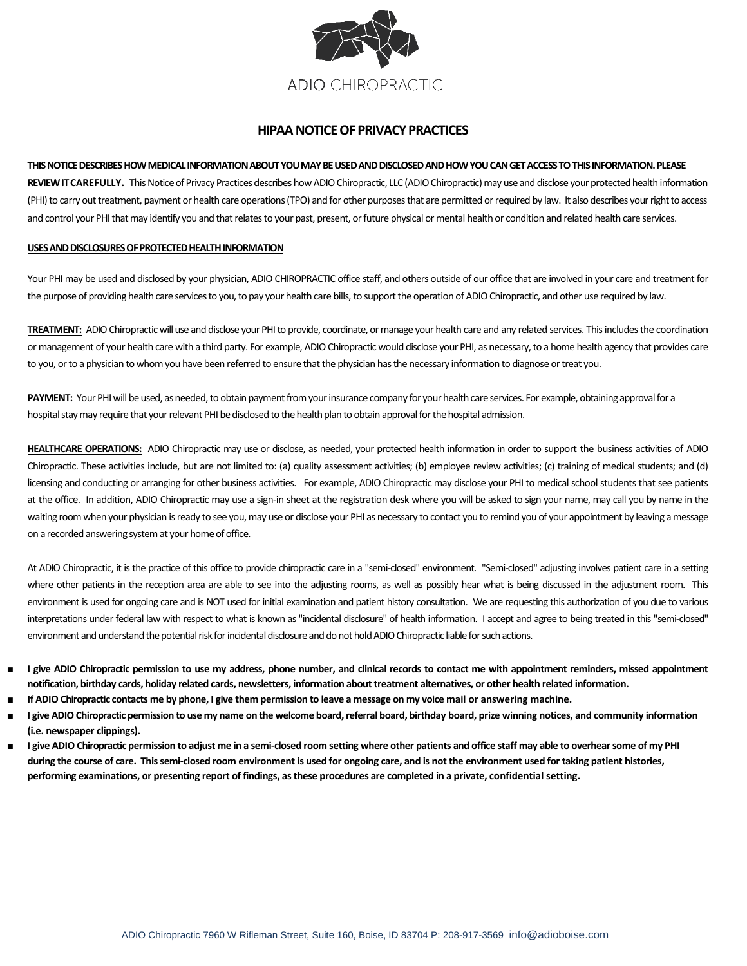

# **HIPAA NOTICE OF PRIVACY PRACTICES**

## **THIS NOTICE DESCRIBES HOW MEDICAL INFORMATION ABOUT YOU MAY BE USED AND DISCLOSED AND HOW YOU CAN GET ACCESS TO THIS INFORMATION. PLEASE**

REVIEW IT CAREFULLY. This Notice of Privacy Practices describes how ADIO Chiropractic, LLC (ADIO Chiropractic) may use and disclose your protected health information (PHI) to carry out treatment, payment or health care operations (TPO) and for other purposes that are permitted or required by law. It also describes your right to access and control your PHI that may identify you and that relates to your past, present, or future physical or mental health or condition and related health care services.

## **USES AND DISCLOSURES OF PROTECTED HEALTH INFORMATION**

Your PHI may be used and disclosed by your physician, ADIO CHIROPRACTIC office staff, and others outside of our office that are involved in your care and treatment for the purpose of providing health care services to you, to pay your health care bills, to support the operation of ADIO Chiropractic, and other use required by law.

**TREATMENT:** ADIO Chiropractic will use and disclose your PHI to provide, coordinate, or manage your health care and any related services. This includes the coordination or management of your health care with a third party. For example, ADIO Chiropractic would disclose your PHI, as necessary, to a home health agency that provides care to you, or to a physician to whom you have been referred to ensure that the physician has the necessary information to diagnose or treat you.

**PAYMENT:** Your PHI will be used, as needed, to obtain payment from your insurance company for your health care services. For example, obtaining approval for a hospital stay may require that your relevant PHI be disclosed to the health plan to obtain approval for the hospital admission.

**HEALTHCARE OPERATIONS:** ADIO Chiropractic may use or disclose, as needed, your protected health information in order to support the business activities of ADIO Chiropractic. These activities include, but are not limited to: (a) quality assessment activities; (b) employee review activities; (c) training of medical students; and (d) licensing and conducting or arranging for other business activities. For example, ADIO Chiropractic may disclose your PHI to medical school students that see patients at the office. In addition, ADIO Chiropractic may use a sign-in sheet at the registration desk where you will be asked to sign your name, may call you by name in the waiting room when your physician is ready to see you, may use or disclose your PHI as necessary to contact you to remind you of your appointment by leaving a message on a recorded answering system at your home of office.

At ADIO Chiropractic, it is the practice of this office to provide chiropractic care in a "semi-closed" environment. "Semi-closed" adjusting involves patient care in a setting where other patients in the reception area are able to see into the adjusting rooms, as well as possibly hear what is being discussed in the adjustment room. This environment is used for ongoing care and is NOT used for initial examination and patient history consultation. We are requesting this authorization of you due to various interpretations under federal law with respect to what is known as "incidental disclosure" of health information. I accept and agree to being treated in this "semi-closed" environment and understand the potential risk for incidental disclosure and do not hold ADIO Chiropractic liable for such actions.

- I give ADIO Chiropractic permission to use my address, phone number, and clinical records to contact me with appointment reminders, missed appointment **notification, birthday cards, holiday related cards, newsletters, information about treatment alternatives, or other health related information.**
- **If ADIO Chiropractic contacts me by phone, I give them permission to leave a message on my voice mail or answering machine.**
- **I give ADIO Chiropractic permission to use my name on the welcome board, referral board, birthday board, prize winning notices, and community information (i.e. newspaper clippings).**
- **I give ADIO Chiropractic permission to adjust me in a semi-closed room setting where other patients and office staff may able to overhear some of my PHI during the course of care. This semi-closed room environment is used for ongoing care, and is not the environment used for taking patient histories, performing examinations, or presenting report of findings, as these procedures are completed in a private, confidential setting.**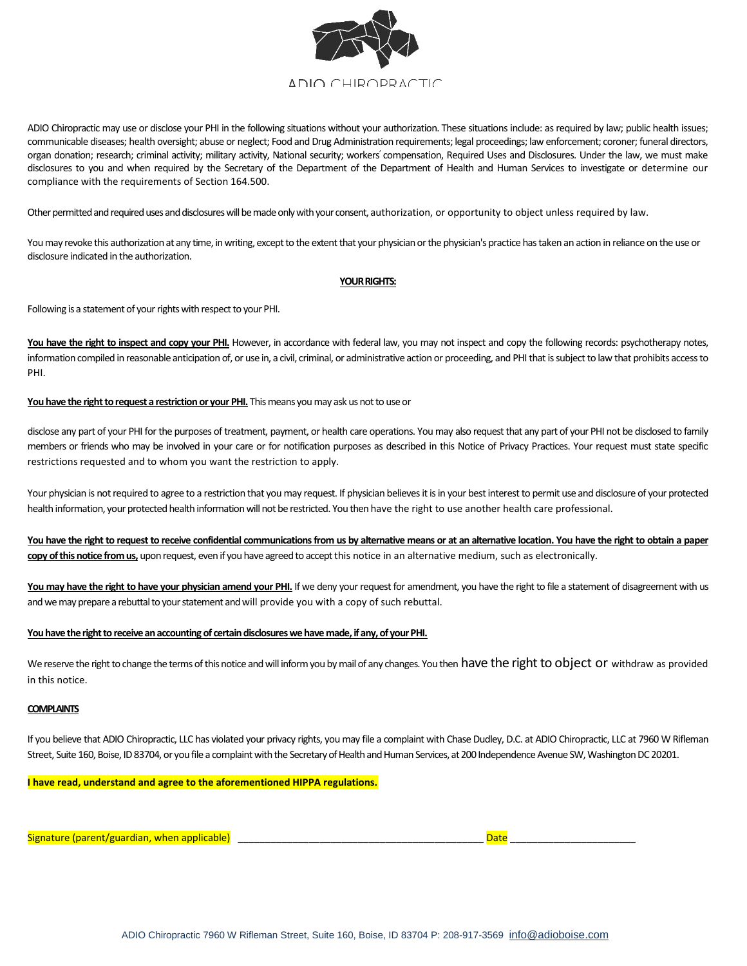

ADIO Chiropractic may use or disclose your PHI in the following situations without your authorization. These situations include: as required by law; public health issues; communicable diseases; health oversight; abuse or neglect; Food and Drug Administration requirements; legal proceedings; law enforcement; coroner; funeral directors, organ donation; research; criminal activity; military activity, National security; workers' compensation, Required Uses and Disclosures. Under the law, we must make disclosures to you and when required by the Secretary of the Department of the Department of Health and Human Services to investigate or determine our compliance with the requirements of Section 164.500.

Other permitted and required uses and disclosures will be made only with your consent, authorization, or opportunity to object unless required by law.

You may revoke this authorization at any time, in writing, except to the extent that your physician or the physician's practice has taken an action in reliance on the use or disclosure indicated in the authorization.

### **YOUR RIGHTS:**

Following is a statement of your rights with respect to your PHI.

You have the right to inspect and copy your PHI. However, in accordance with federal law, you may not inspect and copy the following records: psychotherapy notes, information compiled in reasonable anticipation of, or use in, a civil, criminal, or administrative action or proceeding, and PHI that is subject to law that prohibits access to PHI.

#### You have the right to request a restriction or your PHI. This means you may ask us not to use or

disclose any part of your PHI for the purposes of treatment, payment, or health care operations. You may also request that any part of your PHI not be disclosed to family members or friends who may be involved in your care or for notification purposes as described in this Notice of Privacy Practices. Your request must state specific restrictions requested and to whom you want the restriction to apply.

Your physician is not required to agree to a restriction that you may request. If physician believes it is in your best interest to permit use and disclosure of your protected health information, your protected health information will not be restricted. You then have the right to use another health care professional.

**You have the right to request to receive confidential communications from us by alternative means or at an alternative location. You have the right to obtain a paper copy of this notice from us,** upon request, even if you have agreed to accept this notice in an alternative medium, such as electronically.

You may have the right to have your physician amend your PHI. If we deny your request for amendment, you have the right to file a statement of disagreement with us and we may prepare a rebuttal to your statement and will provide you with a copy of such rebuttal.

### **You have the right to receive an accounting of certain disclosures we have made, if any, of your PHI.**

We reserve the right to change the terms of this notice and will inform you by mail of any changes. You then have the right to object or withdraw as provided in this notice.

#### **COMPLAINTS**

If you believe that ADIO Chiropractic, LLC has violated your privacy rights, you may file a complaint with Chase Dudley, D.C. at ADIO Chiropractic, LLC at 7960 W Rifleman Street, Suite 160, Boise, ID 83704, or you file a complaint with the Secretary of Health and Human Services, at 200 Independence Avenue SW, Washington DC 20201.

**I have read, understand and agree to the aforementioned HIPPA regulations.**

Signature (parent/guardian, when applicable) \_\_\_\_\_\_\_\_\_\_\_\_\_\_\_\_\_\_\_\_\_\_\_\_\_\_\_\_\_\_\_\_\_\_\_\_\_\_\_\_\_\_\_\_\_ Date \_\_\_\_\_\_\_\_\_\_\_\_\_\_\_\_\_\_\_\_\_\_\_